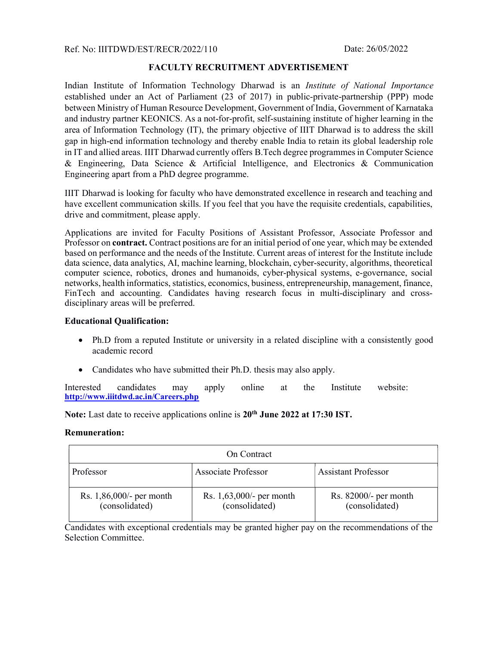Ref. No: IIITDWD/EST/RECR/2022/110

## FACULTY RECRUITMENT ADVERTISEMENT

Indian Institute of Information Technology Dharwad is an Institute of National Importance established under an Act of Parliament (23 of 2017) in public-private-partnership (PPP) mode between Ministry of Human Resource Development, Government of India, Government of Karnataka and industry partner KEONICS. As a not-for-profit, self-sustaining institute of higher learning in the area of Information Technology (IT), the primary objective of IIIT Dharwad is to address the skill gap in high-end information technology and thereby enable India to retain its global leadership role in IT and allied areas. IIIT Dharwad currently offers B.Tech degree programmes in Computer Science & Engineering, Data Science & Artificial Intelligence, and Electronics & Communication Engineering apart from a PhD degree programme.

IIIT Dharwad is looking for faculty who have demonstrated excellence in research and teaching and have excellent communication skills. If you feel that you have the requisite credentials, capabilities, drive and commitment, please apply.

Applications are invited for Faculty Positions of Assistant Professor, Associate Professor and Professor on **contract**. Contract positions are for an initial period of one year, which may be extended based on performance and the needs of the Institute. Current areas of interest for the Institute include data science, data analytics, AI, machine learning, blockchain, cyber-security, algorithms, theoretical computer science, robotics, drones and humanoids, cyber-physical systems, e-governance, social networks, health informatics, statistics, economics, business, entrepreneurship, management, finance, FinTech and accounting. Candidates having research focus in multi-disciplinary and crossdisciplinary areas will be preferred.

## Educational Qualification:

- Ph.D from a reputed Institute or university in a related discipline with a consistently good academic record
- Candidates who have submitted their Ph.D. thesis may also apply.

Interested candidates may apply online at the Institute website: http://www.iiitdwd.ac.in/Careers.php

Note: Last date to receive applications online is 20<sup>th</sup> June 2022 at 17:30 IST.

## Remuneration:

| On Contract                                   |                                               |                                           |
|-----------------------------------------------|-----------------------------------------------|-------------------------------------------|
| Professor                                     | Associate Professor                           | <b>Assistant Professor</b>                |
| Rs. $1,86,000/$ - per month<br>(consolidated) | Rs. $1,63,000/$ - per month<br>(consolidated) | Rs. $82000/-$ per month<br>(consolidated) |

Candidates with exceptional credentials may be granted higher pay on the recommendations of the Selection Committee.